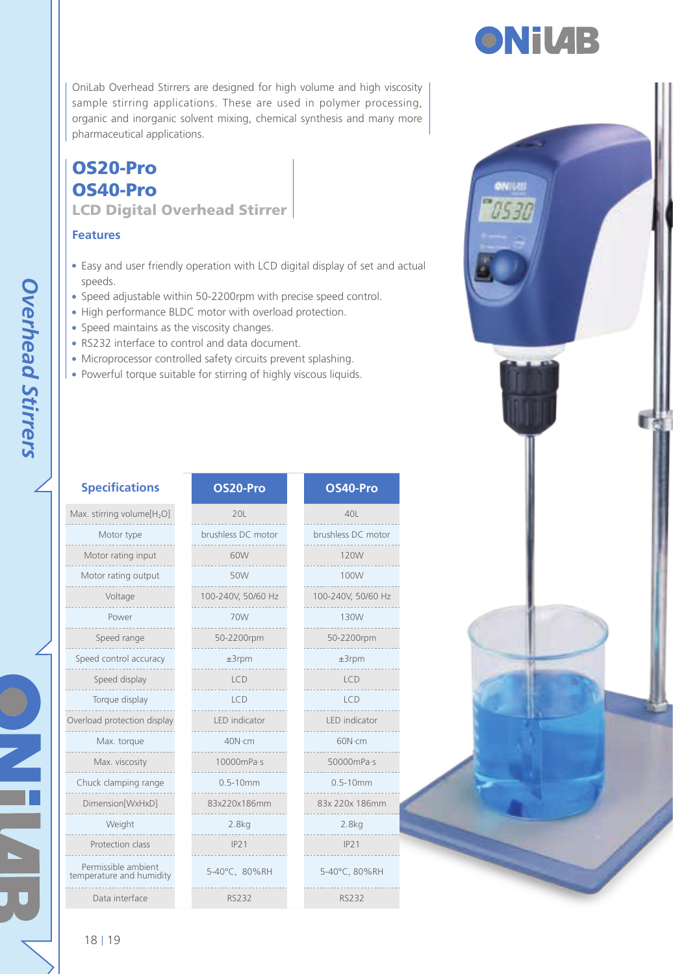### OS20-Pro OS40-Pro LCD Digital Overhead Stirrer

### **Features**

- Easy and user friendly operation with LCD digital display of set speeds.
- Speed adjustable within 50-2200rpm with precise speed control
- High performance BLDC motor with overload protection.
- Speed maintains as the viscosity changes.
- RS232 interface to control and data document.
- Microprocessor controlled safety circuits prevent splashing.
- Powerful torque suitable for stirring of highly viscous liquids.

| <b>Specifications</b>                           | OS20-Pro             | OS40-Pro             |  |
|-------------------------------------------------|----------------------|----------------------|--|
|                                                 |                      |                      |  |
| Max. stirring volume[H <sub>2</sub> O]          | 201                  | 401                  |  |
| Motor type                                      | brushless DC motor   | brushless DC motor   |  |
| Motor rating input                              | 60W                  | 120W                 |  |
| Motor rating output                             | 50W                  | 100W                 |  |
| Voltage                                         | 100-240V, 50/60 Hz   | 100-240V, 50/60 Hz   |  |
| Power                                           | 70W                  | 130W                 |  |
| Speed range                                     | 50-2200rpm           | 50-2200rpm           |  |
| Speed control accuracy                          | $±3$ rpm             | $±3$ rpm             |  |
| Speed display                                   | ICD                  | ICD                  |  |
| Torque display                                  | <b>LCD</b>           | LCD                  |  |
| Overload protection display                     | <b>IFD</b> indicator | <b>IFD</b> indicator |  |
| Max. torque                                     | 40N-cm               | 60N·cm               |  |
| Max. viscosity                                  | 10000mPa-s           | 50000mPa-s           |  |
| Chuck clamping range                            | $0.5 - 10$ mm        | $0.5 - 10$ mm        |  |
| Dimension[WxHxD]                                | 83x220x186mm         | 83x 220x 186mm       |  |
| Weight                                          | 2.8 <sub>kq</sub>    | 2.8kg                |  |
| Protection class                                | IP21                 | IP21                 |  |
| Permissible ambient<br>temperature and humidity | 5-40°C. 80%RH        | 5-40°C, 80%RH        |  |

Data interface RS232 RS232

| rocessing,<br>many more<br>t and actual<br>ol. |  | omus<br>US30 |  | 13 |
|------------------------------------------------|--|--------------|--|----|
| $\circ$<br>notor<br>$50$ Hz<br>n               |  |              |  |    |
| pr<br><br>$\cdot$ S<br>mm<br>RH                |  |              |  |    |

 $\mathbf{||}$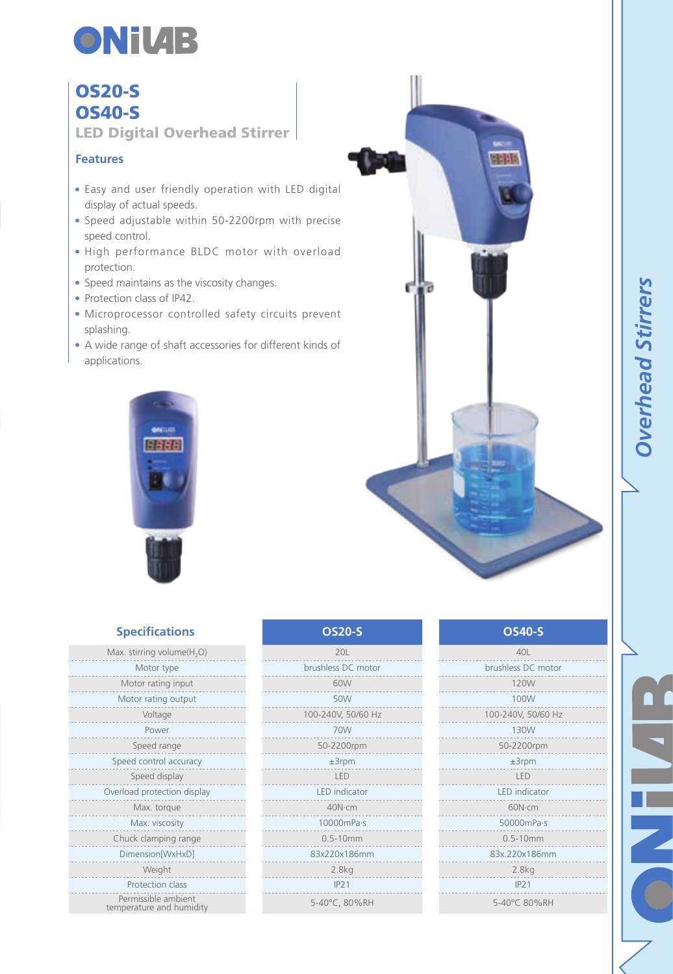

## OS20-S OS40-S

LED Digital Overhead Stirrer

### **Features**

- Easy and user friendly operation with LED digital display of actual speeds.
- Speed adjustable within 50-2200rpm with precise speed control.
- High performance BLDC motor with overload protection.
- Speed maintains as the viscosity changes.
- Protection class of IP42.
- Microprocessor controlled safety circuits prevent splashing.
- A wide range of shaft accessories for different kinds of applications.



| <b>Got</b><br>ďр | <b>MERE</b><br>ŋ |  |
|------------------|------------------|--|
|                  |                  |  |

**LEE** 

*Overhead Stirrers*

**Overhead Stirrers** 

ш

Z

| <b>Specifications</b>                  | <b>OS20-S</b>      | <b>OS40-S</b>      |
|----------------------------------------|--------------------|--------------------|
| Max. stirring volume(H <sub>2</sub> O) | 201                | 40L                |
| Motor type                             | brushless DC motor | brushless DC motor |
| Motor rating input                     | 60W                | 120W               |
| Motor rating output                    | 50W                | 100W               |
| Voltage                                | 100-240V, 50/60 Hz | 100-240V, 50/60 Hz |
| Power                                  | 70W                | 130W               |
| Speed range                            | 50-2200rpm         | 50-2200rpm         |
| Speed control accuracy                 | $±3$ rpm           | $±3$ rpm           |
| Speed display                          | LED                | LED                |
| Overload protection display            | LED indicator      | LED indicator      |
| Max. torque                            | 40N-cm             | 60N·cm             |
| Max. viscosity                         | 10000mPa-s         | 50000mPa-s         |
| Chuck clamping range                   | $0.5 - 10$ mm      | $0.5 - 10$ mm      |
| Dimension[WxHxD]                       | 83x220x186mm       | 83x.220x186mm      |
| Weight                                 | 2.8kg              | 2.8kg              |
| Protection class                       | IP21               | IP21               |

Permissible ambient temperature and humidity temperature and humidity 5-40°C 80%RH 5-40°C 80%RH